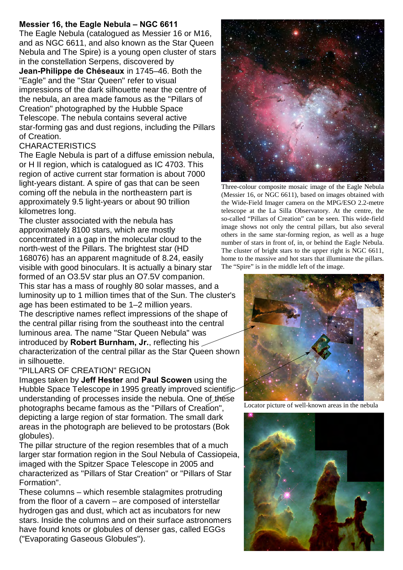## **Messier 16, the Eagle Nebula – NGC 6611**

The Eagle Nebula (catalogued as Messier 16 or M16, and as NGC 6611, and also known as the Star Queen Nebula and The Spire) is a young open cluster of stars in the constellation Serpens, discovered by **Jean-Philippe de Chéseaux** in 1745–46. Both the "Eagle" and the "Star Queen" refer to visual

impressions of the dark silhouette near the centre of the nebula, an area made famous as the "Pillars of Creation" photographed by the Hubble Space Telescope. The nebula contains several active star-forming gas and dust regions, including the Pillars of Creation.

## **CHARACTERISTICS**

The Eagle Nebula is part of a diffuse emission nebula, or H II region, which is catalogued as IC 4703. This region of active current star formation is about 7000 light-years distant. A spire of gas that can be seen coming off the nebula in the northeastern part is approximately 9.5 light-years or about 90 trillion kilometres long.

The cluster associated with the nebula has approximately 8100 stars, which are mostly concentrated in a gap in the molecular cloud to the north-west of the Pillars. The brightest star (HD 168076) has an apparent magnitude of 8.24, easily visible with good binoculars. It is actually a binary star

formed of an O3.5V star plus an O7.5V companion. This star has a mass of roughly 80 solar masses, and a luminosity up to 1 million times that of the Sun. The cluster's age has been estimated to be 1–2 million years. The descriptive names reflect impressions of the shape of the central pillar rising from the southeast into the central luminous area. The name "Star Queen Nebula" was introduced by **Robert Burnham, Jr.**, reflecting his characterization of the central pillar as the Star Queen shown in silhouette.

## "PILLARS OF CREATION" REGION

Images taken by **Jeff Hester** and **Paul Scowen** using the Hubble Space Telescope in 1995 greatly improved scientific understanding of processes inside the nebula. One of these photographs became famous as the "Pillars of Creation", depicting a large region of star formation. The small dark areas in the photograph are believed to be protostars (Bok globules).

The pillar structure of the region resembles that of a much larger star formation region in the Soul Nebula of Cassiopeia, imaged with the Spitzer Space Telescope in 2005 and characterized as "Pillars of Star Creation" or "Pillars of Star Formation".

These columns – which resemble stalagmites protruding from the floor of a cavern – are composed of interstellar hydrogen gas and dust, which act as incubators for new stars. Inside the columns and on their surface astronomers have found knots or globules of denser gas, called EGGs ("Evaporating Gaseous Globules").



Three-colour composite mosaic image of the Eagle Nebula (Messier 16, or NGC 6611), based on images obtained with the Wide-Field Imager camera on the MPG/ESO 2.2-metre telescope at the La Silla Observatory. At the centre, the so-called "Pillars of Creation" can be seen. This wide-field image shows not only the central pillars, but also several others in the same star-forming region, as well as a huge number of stars in front of, in, or behind the Eagle Nebula. The cluster of bright stars to the upper right is NGC 6611, home to the massive and hot stars that illuminate the pillars. The "Spire" is in the middle left of the image.



Locator picture of well-known areas in the nebula